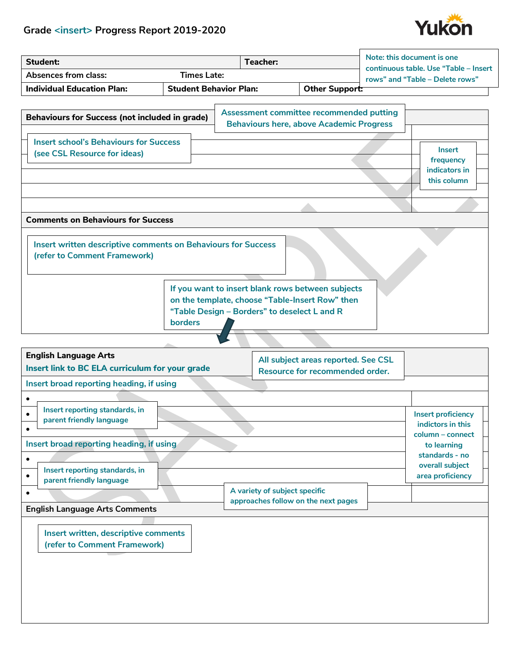## **Grade <insert> Progress Report 2019-2020**



| <b>Student:</b>                                                                                                                        |                               | <b>Teacher:</b>                                                                                                                                      |                                                                        | Note: this document is one<br>continuous table. Use "Table - Insert |
|----------------------------------------------------------------------------------------------------------------------------------------|-------------------------------|------------------------------------------------------------------------------------------------------------------------------------------------------|------------------------------------------------------------------------|---------------------------------------------------------------------|
| <b>Absences from class:</b>                                                                                                            | <b>Times Late:</b>            |                                                                                                                                                      |                                                                        | rows" and "Table - Delete rows"                                     |
| <b>Individual Education Plan:</b>                                                                                                      | <b>Student Behavior Plan:</b> |                                                                                                                                                      | Other Support:                                                         |                                                                     |
| <b>Behaviours for Success (not included in grade)</b><br><b>Insert school's Behaviours for Success</b><br>(see CSL Resource for ideas) |                               | Assessment committee recommended putting<br><b>Behaviours here, above Academic Progress</b>                                                          |                                                                        | <b>Insert</b><br>frequency<br>indicators in                         |
|                                                                                                                                        |                               |                                                                                                                                                      |                                                                        | this column                                                         |
| <b>Comments on Behaviours for Success</b>                                                                                              |                               |                                                                                                                                                      |                                                                        |                                                                     |
| Insert written descriptive comments on Behaviours for Success<br>(refer to Comment Framework)                                          | borders                       | If you want to insert blank rows between subjects<br>on the template, choose "Table-Insert Row" then<br>"Table Design - Borders" to deselect L and R |                                                                        |                                                                     |
| <b>English Language Arts</b>                                                                                                           |                               |                                                                                                                                                      |                                                                        |                                                                     |
| Insert link to BC ELA curriculum for your grade                                                                                        |                               |                                                                                                                                                      | All subject areas reported. See CSL<br>Resource for recommended order. |                                                                     |
| Insert broad reporting heading, if using                                                                                               |                               |                                                                                                                                                      |                                                                        |                                                                     |
|                                                                                                                                        |                               |                                                                                                                                                      |                                                                        |                                                                     |
| ٠<br>Insert reporting standards, in<br>parent friendly language                                                                        |                               |                                                                                                                                                      |                                                                        | <b>Insert proficiency</b><br>indictors in this<br>column - connect  |
| Insert broad reporting heading, if using                                                                                               |                               |                                                                                                                                                      |                                                                        | to learning                                                         |
| $\bullet$<br>Insert reporting standards, in<br>$\bullet$<br>parent friendly language<br>$\bullet$                                      |                               | A variety of subject specific<br>approaches follow on the next pages                                                                                 |                                                                        | standards - no<br>overall subject<br>area proficiency               |
| <b>English Language Arts Comments</b>                                                                                                  |                               |                                                                                                                                                      |                                                                        |                                                                     |
| Insert written, descriptive comments<br>(refer to Comment Framework)                                                                   |                               |                                                                                                                                                      |                                                                        |                                                                     |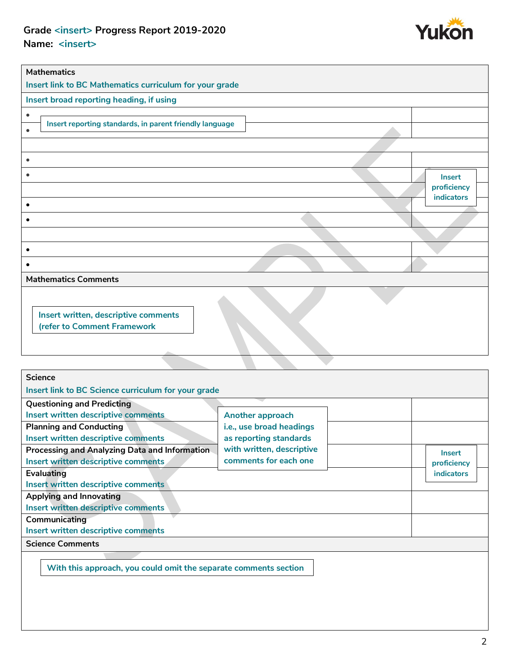## **Grade <insert> Progress Report 2019-2020 Name: <insert>**



| <b>Mathematics</b>                                           |                       |
|--------------------------------------------------------------|-----------------------|
| Insert link to BC Mathematics curriculum for your grade      |                       |
| Insert broad reporting heading, if using                     |                       |
| ٠                                                            |                       |
| Insert reporting standards, in parent friendly language<br>٠ |                       |
|                                                              |                       |
| ٠                                                            |                       |
|                                                              |                       |
|                                                              | Insert<br>proficiency |
|                                                              | indicators            |
|                                                              |                       |
|                                                              |                       |
|                                                              |                       |
| ٠                                                            |                       |
|                                                              |                       |
| <b>Mathematics Comments</b>                                  |                       |
|                                                              |                       |
| Insert written, descriptive comments                         |                       |
| (refer to Comment Framework                                  |                       |
|                                                              |                       |

| <b>Science</b>                                                   |                           |                   |
|------------------------------------------------------------------|---------------------------|-------------------|
| Insert link to BC Science curriculum for your grade              |                           |                   |
| <b>Questioning and Predicting</b>                                |                           |                   |
| Insert written descriptive comments                              | Another approach          |                   |
| <b>Planning and Conducting</b>                                   | i.e., use broad headings  |                   |
| Insert written descriptive comments                              | as reporting standards    |                   |
| <b>Processing and Analyzing Data and Information</b>             | with written, descriptive | Insert            |
| Insert written descriptive comments                              | comments for each one     | proficiency       |
| Evaluating                                                       |                           | <b>indicators</b> |
| Insert written descriptive comments                              |                           |                   |
| Applying and Innovating                                          |                           |                   |
| Insert written descriptive comments                              |                           |                   |
| Communicating                                                    |                           |                   |
| Insert written descriptive comments                              |                           |                   |
| <b>Science Comments</b>                                          |                           |                   |
|                                                                  |                           |                   |
| With this approach, you could omit the separate comments section |                           |                   |
|                                                                  |                           |                   |
|                                                                  |                           |                   |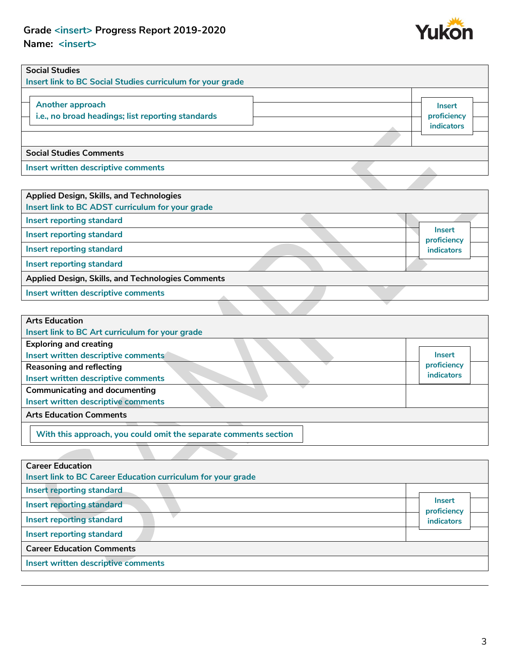## **Grade <insert> Progress Report 2019-2020 Name: <insert>**



| <b>Social Studies</b><br>Insert link to BC Social Studies curriculum for your grade |                                                   |
|-------------------------------------------------------------------------------------|---------------------------------------------------|
| Another approach<br>i.e., no broad headings; list reporting standards               | <b>Insert</b><br>proficiency<br><b>indicators</b> |
| <b>Social Studies Comments</b>                                                      |                                                   |
| Insert written descriptive comments                                                 |                                                   |

| <b>Applied Design, Skills, and Technologies</b>   |                              |  |
|---------------------------------------------------|------------------------------|--|
| Insert link to BC ADST curriculum for your grade  |                              |  |
| Insert reporting standard                         |                              |  |
| <b>Insert reporting standard</b>                  | <b>Insert</b><br>proficiency |  |
| Insert reporting standard                         | <b>indicators</b>            |  |
| <b>Insert reporting standard</b>                  |                              |  |
| Applied Design, Skills, and Technologies Comments |                              |  |
| Insert written descriptive comments               |                              |  |
|                                                   |                              |  |

| <b>Arts Education</b>                                            |             |
|------------------------------------------------------------------|-------------|
| Insert link to BC Art curriculum for your grade                  |             |
| <b>Exploring and creating</b>                                    |             |
| Insert written descriptive comments                              | Insert      |
| <b>Reasoning and reflecting</b>                                  | proficiency |
| Insert written descriptive comments                              | indicators  |
| <b>Communicating and documenting</b>                             |             |
| Insert written descriptive comments                              |             |
| <b>Arts Education Comments</b>                                   |             |
| With this approach, you could omit the separate comments section |             |

| <b>Career Education</b>                                      |                              |
|--------------------------------------------------------------|------------------------------|
| Insert link to BC Career Education curriculum for your grade |                              |
| Insert reporting standard                                    |                              |
| <b>Insert reporting standard</b>                             | <b>Insert</b><br>proficiency |
| <b>Insert reporting standard</b>                             | <b>indicators</b>            |
| <b>Insert reporting standard</b>                             |                              |
| <b>Career Education Comments</b>                             |                              |
| Insert written descriptive comments                          |                              |